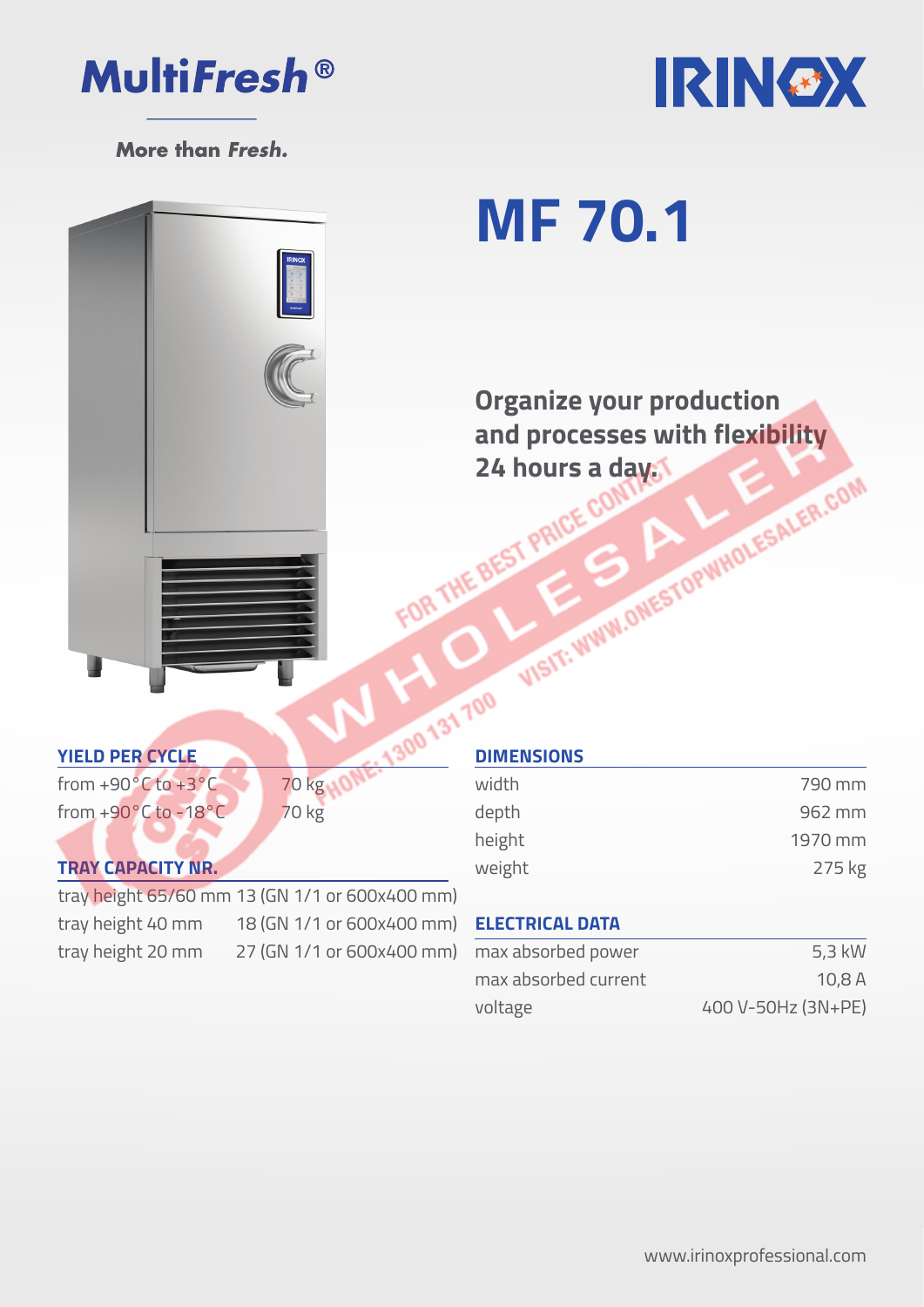



More than Fresh.

# **MF 70.1**

**Organize your production and processes with flexibility<br>24 hours a day.<br>BEST PRICE COMPANY: A LITTLER, COMPANY: AND RESALER, COMPANY: AND RESALER, COMPANY: AND RESALER.COMPANY: AND RESALER.COMPANY: AND RESALER.COMPANY: AND RESALER.COMPANY: AND RE 24 hours a day.**<br>FOR THE BEST PRICE CONTROL

### **YIELD PER CYCLE**

from +90 $^{\circ}$ C to +3 $^{\circ}$ C 70 kg $_{10}$ from  $+90^{\circ}$ C to  $-18^{\circ}$ C 70 kg

#### **TRAY CAPACITY NR.**

tray height 20 mm 27 (GN 1/1 or 600x400 mm)

tray height 65/60 mm 13 (GN 1/1 or 600x400 mm) tray height 40 mm 18 (GN 1/1 or 600x400 mm)

|  | <b>DIMENSIONS</b> |         |  |
|--|-------------------|---------|--|
|  | width             | 790 mm  |  |
|  | depth             | 962 mm  |  |
|  | height            | 1970 mm |  |
|  | weight            | 275 kg  |  |

#### **ELECTRICAL DATA**

| max absorbed power   | 5,3 kW             |
|----------------------|--------------------|
| max absorbed current | 10,8A              |
| voltage              | 400 V-50Hz (3N+PE) |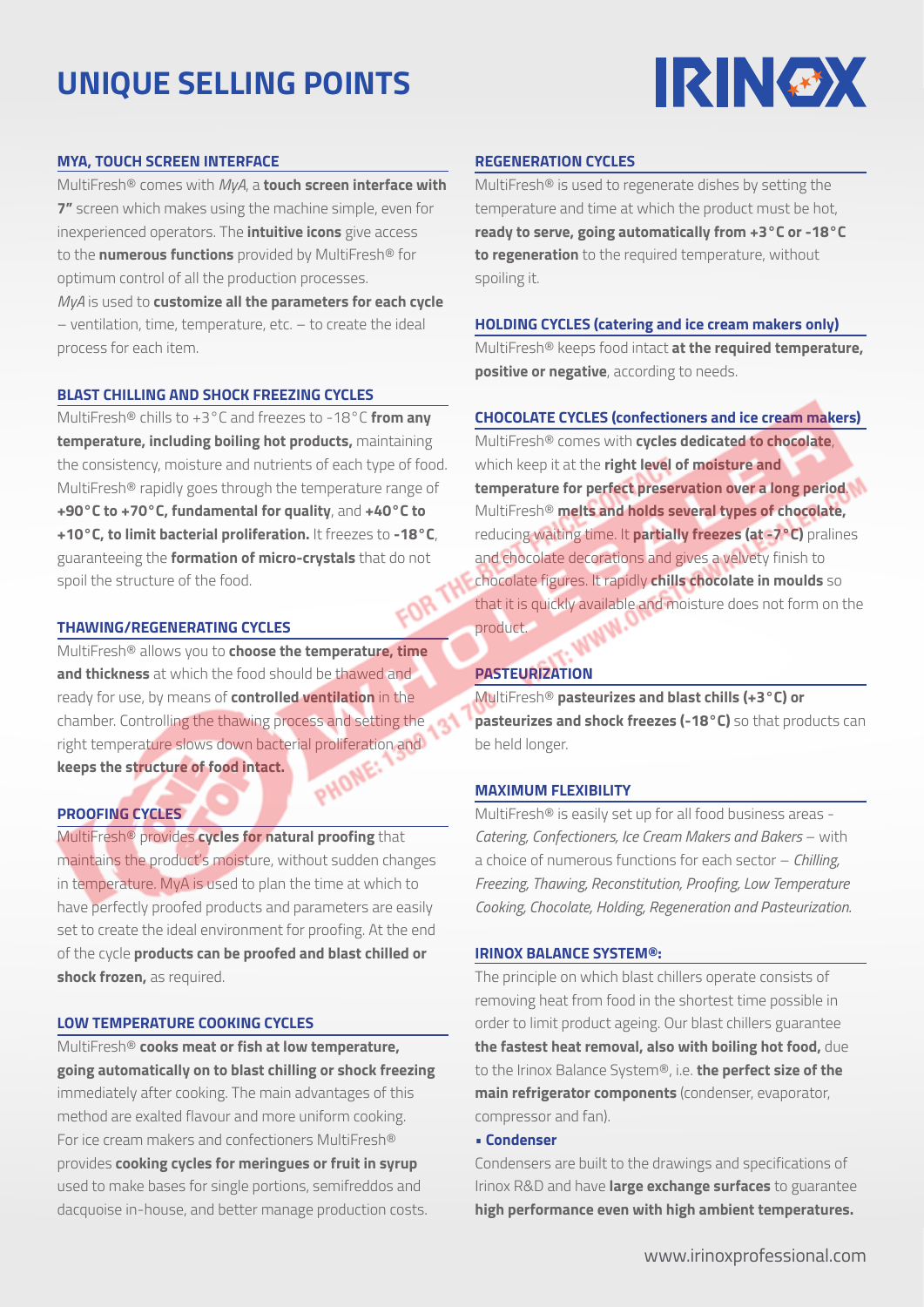## **UNIQUE SELLING POINTS**



#### **MYA, TOUCH SCREEN INTERFACE**

MultiFresh® comes with *MyA*, a **touch screen interface with 7"** screen which makes using the machine simple, even for inexperienced operators. The **intuitive icons** give access to the **numerous functions** provided by MultiFresh® for optimum control of all the production processes. *MyA* is used to **customize all the parameters for each cycle** – ventilation, time, temperature, etc. – to create the ideal process for each item.

#### **BLAST CHILLING AND SHOCK FREEZING CYCLES**

MultiFresh® chills to +3°C and freezes to -18°C **from any temperature, including boiling hot products,** maintaining the consistency, moisture and nutrients of each type of food. MultiFresh® rapidly goes through the temperature range of **+90°C to +70°C, fundamental for quality**, and **+40°C to +10°C, to limit bacterial proliferation.** It freezes to **-18°C**, guaranteeing the **formation of micro-crystals** that do not spoil the structure of the food.

#### **THAWING/REGENERATING CYCLES**

MultiFresh® allows you to **choose the temperature, time and thickness** at which the food should be thawed and ready for use, by means of **controlled ventilation** in the chamber. Controlling the thawing process and setting the right temperature slows down bacterial proliferation and<br>keeps the structure of food intact. **keeps the structure of food intact.**

#### **PROOFING CYCLES**

MultiFresh® provides **cycles for natural proofing** that maintains the product's moisture, without sudden changes in temperature. MyA is used to plan the time at which to have perfectly proofed products and parameters are easily set to create the ideal environment for proofing. At the end of the cycle **products can be proofed and blast chilled or shock frozen,** as required.

#### **LOW TEMPERATURE COOKING CYCLES**

MultiFresh® **cooks meat or fish at low temperature, going automatically on to blast chilling or shock freezing** immediately after cooking. The main advantages of this method are exalted flavour and more uniform cooking. For ice cream makers and confectioners MultiFresh® provides **cooking cycles for meringues or fruit in syrup** used to make bases for single portions, semifreddos and dacquoise in-house, and better manage production costs.

#### **REGENERATION CYCLES**

MultiFresh® is used to regenerate dishes by setting the temperature and time at which the product must be hot, **ready to serve, going automatically from +3°C or -18°C to regeneration** to the required temperature, without spoiling it.

#### **HOLDING CYCLES (catering and ice cream makers only)**

MultiFresh® keeps food intact **at the required temperature, positive or negative**, according to needs.

#### **CHOCOLATE CYCLES (confectioners and ice cream makers)**

MultiFresh® comes with **cycles dedicated to chocolate**, which keep it at the **right level of moisture and temperature for perfect preservation over a long period**. MultiFresh® **melts and holds several types of chocolate,** reducing waiting time. It **partially freezes (at -7°C)** pralines and chocolate decorations and gives a velvety finish to chocolate figures. It rapidly **chills chocolate in moulds** so that it is quickly available and moisture does not form on the product.

#### **PASTEURIZATION**

MultiFresh® **pasteurizes and blast chills (+3°C) or pasteurizes and shock freezes (-18°C)** so that products can be held longer.

#### **MAXIMUM FLEXIBILITY**

MultiFresh® is easily set up for all food business areas - *Catering, Confectioners, Ice Cream Makers and Bakers* – with a choice of numerous functions for each sector – *Chilling, Freezing, Thawing, Reconstitution, Proofing, Low Temperature Cooking, Chocolate, Holding, Regeneration and Pasteurization.*

#### **IRINOX BALANCE SYSTEM®:**

The principle on which blast chillers operate consists of removing heat from food in the shortest time possible in order to limit product ageing. Our blast chillers guarantee **the fastest heat removal, also with boiling hot food,** due to the Irinox Balance System®, i.e. **the perfect size of the main refrigerator components** (condenser, evaporator, compressor and fan).

#### • **Condenser**

Condensers are built to the drawings and specifications of Irinox R&D and have **large exchange surfaces** to guarantee **high performance even with high ambient temperatures.**